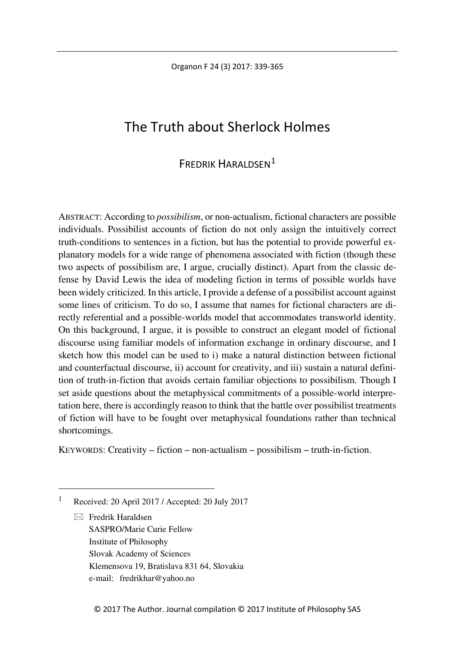Organon F 24 (3) 2017: 339-365

# The Truth about Sherlock Holmes

## FREDRIK HARALDSEN<sup>[1](#page-0-0)</sup>

ABSTRACT: According to *possibilism*, or non-actualism, fictional characters are possible individuals. Possibilist accounts of fiction do not only assign the intuitively correct truth-conditions to sentences in a fiction, but has the potential to provide powerful explanatory models for a wide range of phenomena associated with fiction (though these two aspects of possibilism are, I argue, crucially distinct). Apart from the classic defense by David Lewis the idea of modeling fiction in terms of possible worlds have been widely criticized. In this article, I provide a defense of a possibilist account against some lines of criticism. To do so, I assume that names for fictional characters are directly referential and a possible-worlds model that accommodates transworld identity. On this background, I argue, it is possible to construct an elegant model of fictional discourse using familiar models of information exchange in ordinary discourse, and I sketch how this model can be used to i) make a natural distinction between fictional and counterfactual discourse, ii) account for creativity, and iii) sustain a natural definition of truth-in-fiction that avoids certain familiar objections to possibilism. Though I set aside questions about the metaphysical commitments of a possible-world interpretation here, there is accordingly reason to think that the battle over possibilist treatments of fiction will have to be fought over metaphysical foundations rather than technical shortcomings.

KEYWORDS: Creativity – fiction – non-actualism – possibilism – truth-in-fiction.

<span id="page-0-0"></span>1 Received: 20 April 2017 / Accepted: 20 July 2017

 $\boxtimes$  Fredrik Haraldsen SASPRO/Marie Curie Fellow Institute of Philosophy Slovak Academy of Sciences Klemensova 19, Bratislava 831 64, Slovakia e-mail: fredrikhar@yahoo.no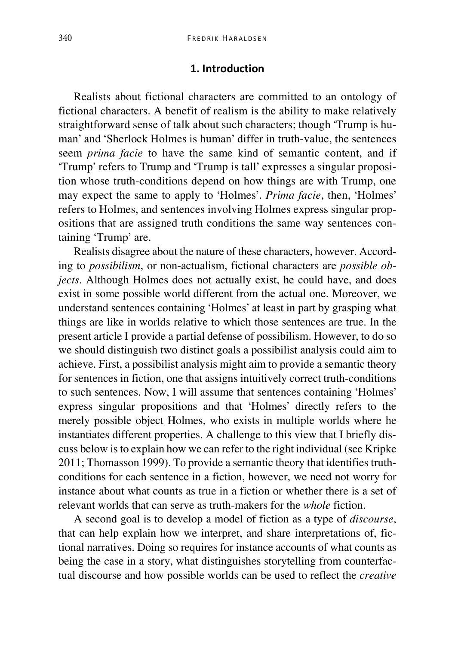#### **1. Introduction**

Realists about fictional characters are committed to an ontology of fictional characters. A benefit of realism is the ability to make relatively straightforward sense of talk about such characters; though 'Trump is human' and 'Sherlock Holmes is human' differ in truth-value, the sentences seem *prima facie* to have the same kind of semantic content, and if 'Trump' refers to Trump and 'Trump is tall' expresses a singular proposition whose truth-conditions depend on how things are with Trump, one may expect the same to apply to 'Holmes'. *Prima facie*, then, 'Holmes' refers to Holmes, and sentences involving Holmes express singular propositions that are assigned truth conditions the same way sentences containing 'Trump' are.

Realists disagree about the nature of these characters, however. According to *possibilism*, or non-actualism, fictional characters are *possible objects*. Although Holmes does not actually exist, he could have, and does exist in some possible world different from the actual one. Moreover, we understand sentences containing 'Holmes' at least in part by grasping what things are like in worlds relative to which those sentences are true. In the present article I provide a partial defense of possibilism. However, to do so we should distinguish two distinct goals a possibilist analysis could aim to achieve. First, a possibilist analysis might aim to provide a semantic theory for sentences in fiction, one that assigns intuitively correct truth-conditions to such sentences. Now, I will assume that sentences containing 'Holmes' express singular propositions and that 'Holmes' directly refers to the merely possible object Holmes, who exists in multiple worlds where he instantiates different properties. A challenge to this view that I briefly discuss below is to explain how we can refer to the right individual (see Kripke 2011; Thomasson 1999). To provide a semantic theory that identifies truthconditions for each sentence in a fiction, however, we need not worry for instance about what counts as true in a fiction or whether there is a set of relevant worlds that can serve as truth-makers for the *whole* fiction.

A second goal is to develop a model of fiction as a type of *discourse*, that can help explain how we interpret, and share interpretations of, fictional narratives. Doing so requires for instance accounts of what counts as being the case in a story, what distinguishes storytelling from counterfactual discourse and how possible worlds can be used to reflect the *creative*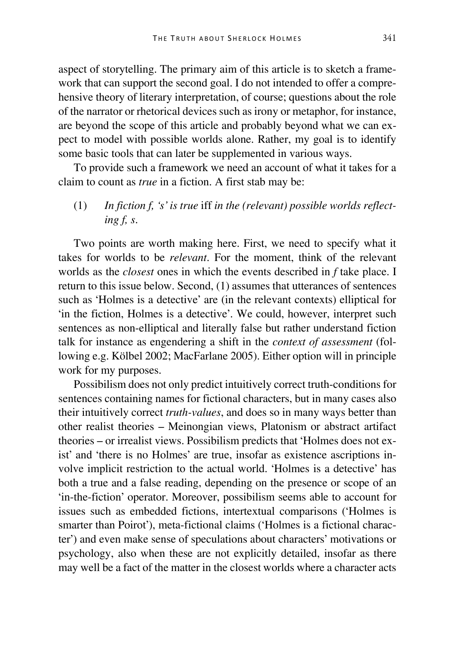aspect of storytelling. The primary aim of this article is to sketch a framework that can support the second goal. I do not intended to offer a comprehensive theory of literary interpretation, of course; questions about the role of the narrator or rhetorical devices such as irony or metaphor, for instance, are beyond the scope of this article and probably beyond what we can expect to model with possible worlds alone. Rather, my goal is to identify some basic tools that can later be supplemented in various ways.

To provide such a framework we need an account of what it takes for a claim to count as *true* in a fiction. A first stab may be:

(1) *In fiction f, 's' is true* iff *in the (relevant) possible worlds reflecting f, s*.

Two points are worth making here. First, we need to specify what it takes for worlds to be *relevant*. For the moment, think of the relevant worlds as the *closest* ones in which the events described in *f* take place. I return to this issue below. Second, (1) assumes that utterances of sentences such as 'Holmes is a detective' are (in the relevant contexts) elliptical for 'in the fiction, Holmes is a detective'. We could, however, interpret such sentences as non-elliptical and literally false but rather understand fiction talk for instance as engendering a shift in the *context of assessment* (following e.g. Kölbel 2002; MacFarlane 2005). Either option will in principle work for my purposes.

Possibilism does not only predict intuitively correct truth-conditions for sentences containing names for fictional characters, but in many cases also their intuitively correct *truth-values*, and does so in many ways better than other realist theories – Meinongian views, Platonism or abstract artifact theories – or irrealist views. Possibilism predicts that 'Holmes does not exist' and 'there is no Holmes' are true, insofar as existence ascriptions involve implicit restriction to the actual world. 'Holmes is a detective' has both a true and a false reading, depending on the presence or scope of an 'in-the-fiction' operator. Moreover, possibilism seems able to account for issues such as embedded fictions, intertextual comparisons ('Holmes is smarter than Poirot'), meta-fictional claims ('Holmes is a fictional character') and even make sense of speculations about characters' motivations or psychology, also when these are not explicitly detailed, insofar as there may well be a fact of the matter in the closest worlds where a character acts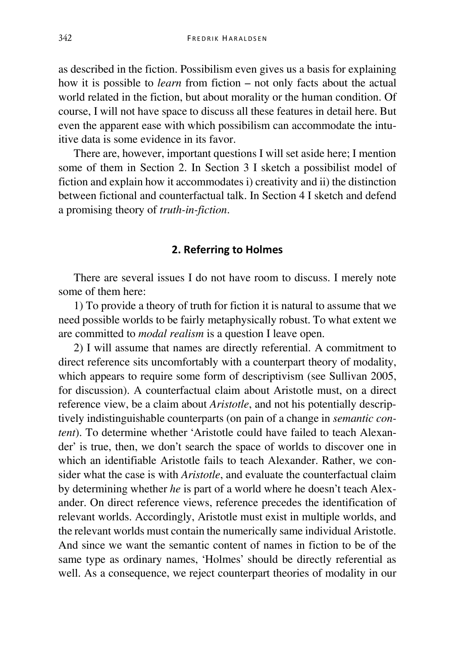as described in the fiction. Possibilism even gives us a basis for explaining how it is possible to *learn* from fiction – not only facts about the actual world related in the fiction, but about morality or the human condition. Of course, I will not have space to discuss all these features in detail here. But even the apparent ease with which possibilism can accommodate the intuitive data is some evidence in its favor.

There are, however, important questions I will set aside here; I mention some of them in Section 2. In Section 3 I sketch a possibilist model of fiction and explain how it accommodates i) creativity and ii) the distinction between fictional and counterfactual talk. In Section 4 I sketch and defend a promising theory of *truth-in-fiction*.

#### **2. Referring to Holmes**

There are several issues I do not have room to discuss. I merely note some of them here:

1) To provide a theory of truth for fiction it is natural to assume that we need possible worlds to be fairly metaphysically robust. To what extent we are committed to *modal realism* is a question I leave open.

2) I will assume that names are directly referential. A commitment to direct reference sits uncomfortably with a counterpart theory of modality, which appears to require some form of descriptivism (see Sullivan 2005, for discussion). A counterfactual claim about Aristotle must, on a direct reference view, be a claim about *Aristotle*, and not his potentially descriptively indistinguishable counterparts (on pain of a change in *semantic content*). To determine whether 'Aristotle could have failed to teach Alexander' is true, then, we don't search the space of worlds to discover one in which an identifiable Aristotle fails to teach Alexander. Rather, we consider what the case is with *Aristotle*, and evaluate the counterfactual claim by determining whether *he* is part of a world where he doesn't teach Alexander. On direct reference views, reference precedes the identification of relevant worlds. Accordingly, Aristotle must exist in multiple worlds, and the relevant worlds must contain the numerically same individual Aristotle. And since we want the semantic content of names in fiction to be of the same type as ordinary names, 'Holmes' should be directly referential as well. As a consequence, we reject counterpart theories of modality in our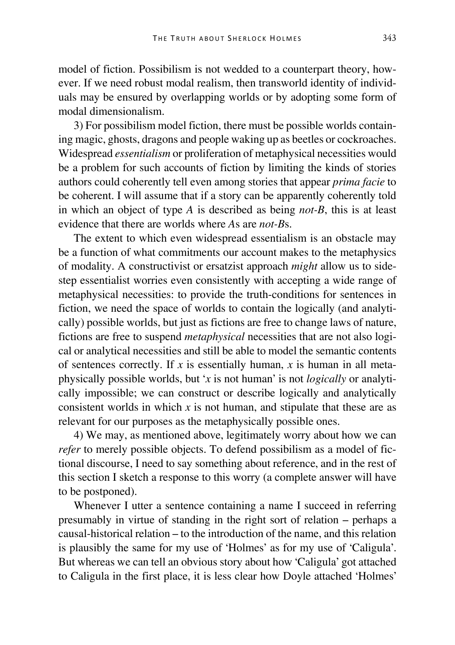model of fiction. Possibilism is not wedded to a counterpart theory, however. If we need robust modal realism, then transworld identity of individuals may be ensured by overlapping worlds or by adopting some form of modal dimensionalism.

3) For possibilism model fiction, there must be possible worlds containing magic, ghosts, dragons and people waking up as beetles or cockroaches. Widespread *essentialism* or proliferation of metaphysical necessities would be a problem for such accounts of fiction by limiting the kinds of stories authors could coherently tell even among stories that appear *prima facie* to be coherent. I will assume that if a story can be apparently coherently told in which an object of type *A* is described as being *not-B*, this is at least evidence that there are worlds where *A*s are *not-B*s.

The extent to which even widespread essentialism is an obstacle may be a function of what commitments our account makes to the metaphysics of modality. A constructivist or ersatzist approach *might* allow us to sidestep essentialist worries even consistently with accepting a wide range of metaphysical necessities: to provide the truth-conditions for sentences in fiction, we need the space of worlds to contain the logically (and analytically) possible worlds, but just as fictions are free to change laws of nature, fictions are free to suspend *metaphysical* necessities that are not also logical or analytical necessities and still be able to model the semantic contents of sentences correctly. If *x* is essentially human, *x* is human in all metaphysically possible worlds, but '*x* is not human' is not *logically* or analytically impossible; we can construct or describe logically and analytically consistent worlds in which *x* is not human, and stipulate that these are as relevant for our purposes as the metaphysically possible ones.

4) We may, as mentioned above, legitimately worry about how we can *refer* to merely possible objects. To defend possibilism as a model of fictional discourse, I need to say something about reference, and in the rest of this section I sketch a response to this worry (a complete answer will have to be postponed).

Whenever I utter a sentence containing a name I succeed in referring presumably in virtue of standing in the right sort of relation – perhaps a causal-historical relation – to the introduction of the name, and this relation is plausibly the same for my use of 'Holmes' as for my use of 'Caligula'. But whereas we can tell an obvious story about how 'Caligula' got attached to Caligula in the first place, it is less clear how Doyle attached 'Holmes'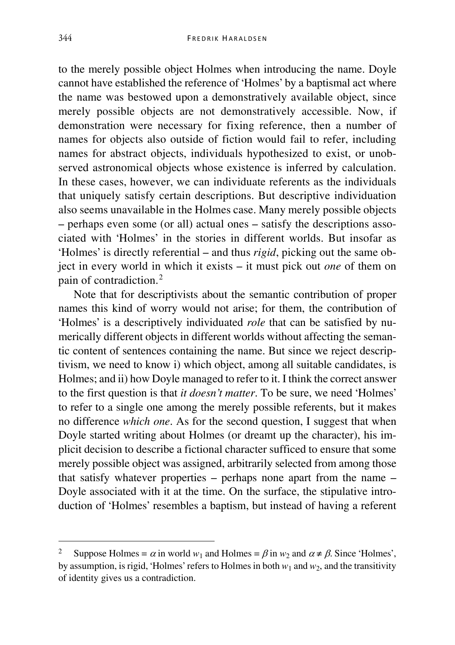to the merely possible object Holmes when introducing the name. Doyle cannot have established the reference of 'Holmes' by a baptismal act where the name was bestowed upon a demonstratively available object, since merely possible objects are not demonstratively accessible. Now, if demonstration were necessary for fixing reference, then a number of names for objects also outside of fiction would fail to refer, including names for abstract objects, individuals hypothesized to exist, or unobserved astronomical objects whose existence is inferred by calculation. In these cases, however, we can individuate referents as the individuals that uniquely satisfy certain descriptions. But descriptive individuation also seems unavailable in the Holmes case. Many merely possible objects – perhaps even some (or all) actual ones – satisfy the descriptions associated with 'Holmes' in the stories in different worlds. But insofar as 'Holmes' is directly referential – and thus *rigid*, picking out the same object in every world in which it exists – it must pick out *one* of them on pain of contradiction.[2](#page-5-0)

Note that for descriptivists about the semantic contribution of proper names this kind of worry would not arise; for them, the contribution of 'Holmes' is a descriptively individuated *role* that can be satisfied by numerically different objects in different worlds without affecting the semantic content of sentences containing the name. But since we reject descriptivism, we need to know i) which object, among all suitable candidates, is Holmes; and ii) how Doyle managed to refer to it. I think the correct answer to the first question is that *it doesn't matter*. To be sure, we need 'Holmes' to refer to a single one among the merely possible referents, but it makes no difference *which one*. As for the second question, I suggest that when Doyle started writing about Holmes (or dreamt up the character), his implicit decision to describe a fictional character sufficed to ensure that some merely possible object was assigned, arbitrarily selected from among those that satisfy whatever properties – perhaps none apart from the name – Doyle associated with it at the time. On the surface, the stipulative introduction of 'Holmes' resembles a baptism, but instead of having a referent

<span id="page-5-0"></span>Suppose Holmes =  $\alpha$  in world  $w_1$  and Holmes =  $\beta$  in  $w_2$  and  $\alpha \neq \beta$ . Since 'Holmes', by assumption, is rigid, 'Holmes' refers to Holmes in both  $w_1$  and  $w_2$ , and the transitivity of identity gives us a contradiction.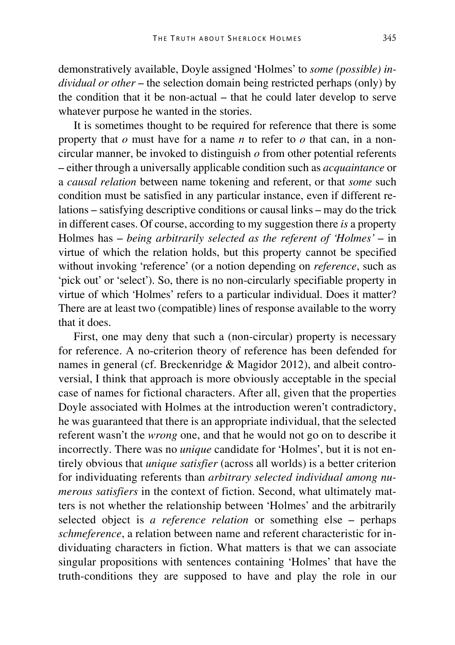demonstratively available, Doyle assigned 'Holmes' to *some (possible) individual or other* – the selection domain being restricted perhaps (only) by the condition that it be non-actual – that he could later develop to serve whatever purpose he wanted in the stories.

It is sometimes thought to be required for reference that there is some property that *o* must have for a name *n* to refer to *o* that can, in a noncircular manner, be invoked to distinguish *o* from other potential referents – either through a universally applicable condition such as *acquaintance* or a *causal relation* between name tokening and referent, or that *some* such condition must be satisfied in any particular instance, even if different relations – satisfying descriptive conditions or causal links – may do the trick in different cases. Of course, according to my suggestion there *is* a property Holmes has – *being arbitrarily selected as the referent of 'Holmes'* – in virtue of which the relation holds, but this property cannot be specified without invoking 'reference' (or a notion depending on *reference*, such as 'pick out' or 'select'). So, there is no non-circularly specifiable property in virtue of which 'Holmes' refers to a particular individual. Does it matter? There are at least two (compatible) lines of response available to the worry that it does.

First, one may deny that such a (non-circular) property is necessary for reference. A no-criterion theory of reference has been defended for names in general (cf. Breckenridge & Magidor 2012), and albeit controversial, I think that approach is more obviously acceptable in the special case of names for fictional characters. After all, given that the properties Doyle associated with Holmes at the introduction weren't contradictory, he was guaranteed that there is an appropriate individual, that the selected referent wasn't the *wrong* one, and that he would not go on to describe it incorrectly. There was no *unique* candidate for 'Holmes', but it is not entirely obvious that *unique satisfier* (across all worlds) is a better criterion for individuating referents than *arbitrary selected individual among numerous satisfiers* in the context of fiction. Second, what ultimately matters is not whether the relationship between 'Holmes' and the arbitrarily selected object is *a reference relation* or something else – perhaps *schmeference*, a relation between name and referent characteristic for individuating characters in fiction. What matters is that we can associate singular propositions with sentences containing 'Holmes' that have the truth-conditions they are supposed to have and play the role in our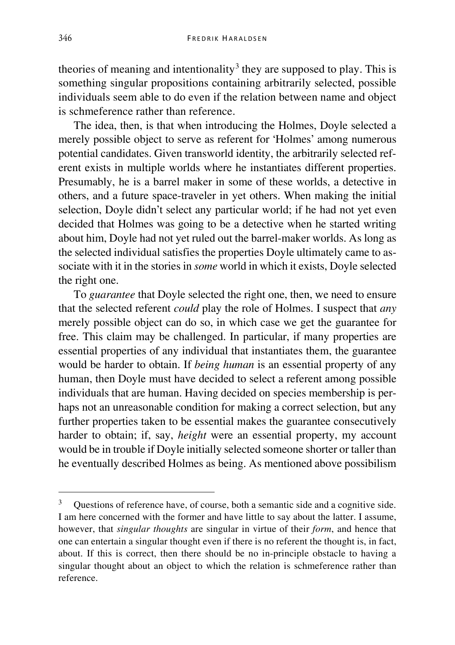theories of meaning and intentionality<sup>[3](#page-7-0)</sup> they are supposed to play. This is something singular propositions containing arbitrarily selected, possible individuals seem able to do even if the relation between name and object is schmeference rather than reference.

The idea, then, is that when introducing the Holmes, Doyle selected a merely possible object to serve as referent for 'Holmes' among numerous potential candidates. Given transworld identity, the arbitrarily selected referent exists in multiple worlds where he instantiates different properties. Presumably, he is a barrel maker in some of these worlds, a detective in others, and a future space-traveler in yet others. When making the initial selection, Doyle didn't select any particular world; if he had not yet even decided that Holmes was going to be a detective when he started writing about him, Doyle had not yet ruled out the barrel-maker worlds. As long as the selected individual satisfies the properties Doyle ultimately came to associate with it in the stories in *some* world in which it exists, Doyle selected the right one.

To *guarantee* that Doyle selected the right one, then, we need to ensure that the selected referent *could* play the role of Holmes. I suspect that *any* merely possible object can do so, in which case we get the guarantee for free. This claim may be challenged. In particular, if many properties are essential properties of any individual that instantiates them, the guarantee would be harder to obtain. If *being human* is an essential property of any human, then Doyle must have decided to select a referent among possible individuals that are human. Having decided on species membership is perhaps not an unreasonable condition for making a correct selection, but any further properties taken to be essential makes the guarantee consecutively harder to obtain; if, say, *height* were an essential property, my account would be in trouble if Doyle initially selected someone shorter or taller than he eventually described Holmes as being. As mentioned above possibilism

<span id="page-7-0"></span> <sup>3</sup> Questions of reference have, of course, both a semantic side and a cognitive side. I am here concerned with the former and have little to say about the latter. I assume, however, that *singular thoughts* are singular in virtue of their *form*, and hence that one can entertain a singular thought even if there is no referent the thought is, in fact, about. If this is correct, then there should be no in-principle obstacle to having a singular thought about an object to which the relation is schmeference rather than reference.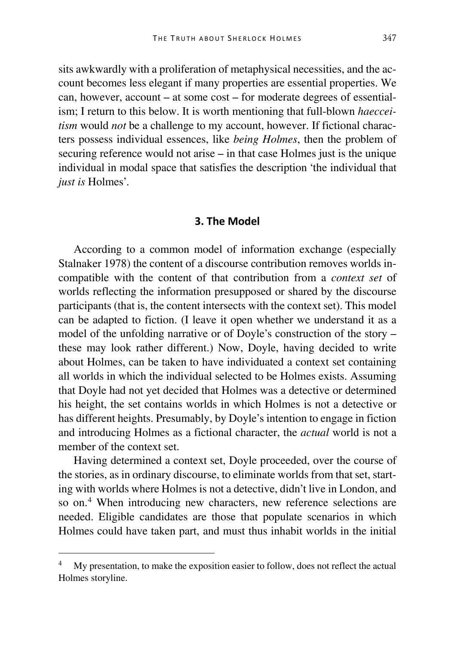sits awkwardly with a proliferation of metaphysical necessities, and the account becomes less elegant if many properties are essential properties. We can, however, account – at some cost – for moderate degrees of essentialism; I return to this below. It is worth mentioning that full-blown *haecceitism* would *not* be a challenge to my account, however. If fictional characters possess individual essences, like *being Holmes*, then the problem of securing reference would not arise – in that case Holmes just is the unique individual in modal space that satisfies the description 'the individual that *just is* Holmes'.

#### **3. The Model**

According to a common model of information exchange (especially Stalnaker 1978) the content of a discourse contribution removes worlds incompatible with the content of that contribution from a *context set* of worlds reflecting the information presupposed or shared by the discourse participants (that is, the content intersects with the context set). This model can be adapted to fiction. (I leave it open whether we understand it as a model of the unfolding narrative or of Doyle's construction of the story – these may look rather different.) Now, Doyle, having decided to write about Holmes, can be taken to have individuated a context set containing all worlds in which the individual selected to be Holmes exists. Assuming that Doyle had not yet decided that Holmes was a detective or determined his height, the set contains worlds in which Holmes is not a detective or has different heights. Presumably, by Doyle's intention to engage in fiction and introducing Holmes as a fictional character, the *actual* world is not a member of the context set.

Having determined a context set, Doyle proceeded, over the course of the stories, as in ordinary discourse, to eliminate worlds from that set, starting with worlds where Holmes is not a detective, didn't live in London, and so on.<sup>[4](#page-8-0)</sup> When introducing new characters, new reference selections are needed. Eligible candidates are those that populate scenarios in which Holmes could have taken part, and must thus inhabit worlds in the initial

<span id="page-8-0"></span>My presentation, to make the exposition easier to follow, does not reflect the actual Holmes storyline.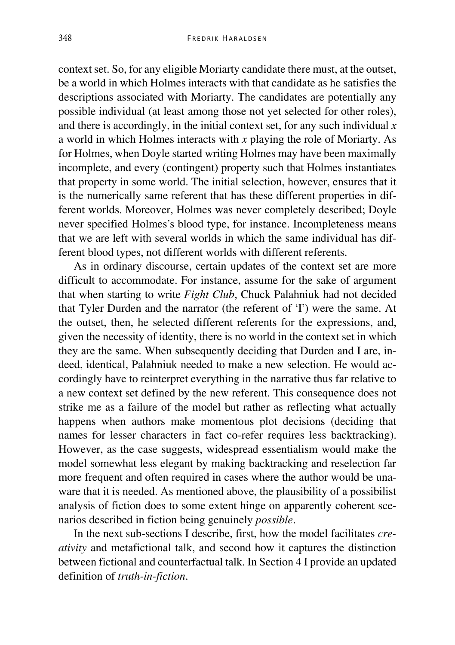context set. So, for any eligible Moriarty candidate there must, at the outset, be a world in which Holmes interacts with that candidate as he satisfies the descriptions associated with Moriarty. The candidates are potentially any possible individual (at least among those not yet selected for other roles), and there is accordingly, in the initial context set, for any such individual *x* a world in which Holmes interacts with *x* playing the role of Moriarty. As for Holmes, when Doyle started writing Holmes may have been maximally incomplete, and every (contingent) property such that Holmes instantiates that property in some world. The initial selection, however, ensures that it is the numerically same referent that has these different properties in different worlds. Moreover, Holmes was never completely described; Doyle never specified Holmes's blood type, for instance. Incompleteness means that we are left with several worlds in which the same individual has different blood types, not different worlds with different referents.

As in ordinary discourse, certain updates of the context set are more difficult to accommodate. For instance, assume for the sake of argument that when starting to write *Fight Club*, Chuck Palahniuk had not decided that Tyler Durden and the narrator (the referent of 'I') were the same. At the outset, then, he selected different referents for the expressions, and, given the necessity of identity, there is no world in the context set in which they are the same. When subsequently deciding that Durden and I are, indeed, identical, Palahniuk needed to make a new selection. He would accordingly have to reinterpret everything in the narrative thus far relative to a new context set defined by the new referent. This consequence does not strike me as a failure of the model but rather as reflecting what actually happens when authors make momentous plot decisions (deciding that names for lesser characters in fact co-refer requires less backtracking). However, as the case suggests, widespread essentialism would make the model somewhat less elegant by making backtracking and reselection far more frequent and often required in cases where the author would be unaware that it is needed. As mentioned above, the plausibility of a possibilist analysis of fiction does to some extent hinge on apparently coherent scenarios described in fiction being genuinely *possible*.

In the next sub-sections I describe, first, how the model facilitates *creativity* and metafictional talk, and second how it captures the distinction between fictional and counterfactual talk. In Section 4 I provide an updated definition of *truth-in-fiction*.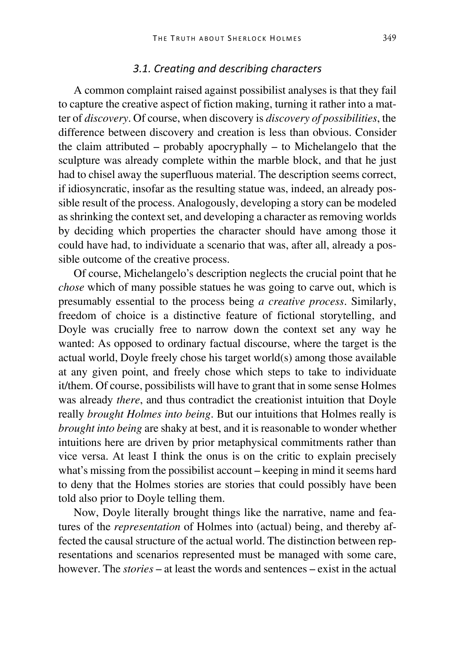#### *3.1. Creating and describing characters*

A common complaint raised against possibilist analyses is that they fail to capture the creative aspect of fiction making, turning it rather into a matter of *discovery*. Of course, when discovery is *discovery of possibilities*, the difference between discovery and creation is less than obvious. Consider the claim attributed – probably apocryphally – to Michelangelo that the sculpture was already complete within the marble block, and that he just had to chisel away the superfluous material. The description seems correct, if idiosyncratic, insofar as the resulting statue was, indeed, an already possible result of the process. Analogously, developing a story can be modeled as shrinking the context set, and developing a character as removing worlds by deciding which properties the character should have among those it could have had, to individuate a scenario that was, after all, already a possible outcome of the creative process.

Of course, Michelangelo's description neglects the crucial point that he *chose* which of many possible statues he was going to carve out, which is presumably essential to the process being *a creative process*. Similarly, freedom of choice is a distinctive feature of fictional storytelling, and Doyle was crucially free to narrow down the context set any way he wanted: As opposed to ordinary factual discourse, where the target is the actual world, Doyle freely chose his target world(s) among those available at any given point, and freely chose which steps to take to individuate it/them. Of course, possibilists will have to grant that in some sense Holmes was already *there*, and thus contradict the creationist intuition that Doyle really *brought Holmes into being*. But our intuitions that Holmes really is *brought into being* are shaky at best, and it is reasonable to wonder whether intuitions here are driven by prior metaphysical commitments rather than vice versa. At least I think the onus is on the critic to explain precisely what's missing from the possibilist account – keeping in mind it seems hard to deny that the Holmes stories are stories that could possibly have been told also prior to Doyle telling them.

Now, Doyle literally brought things like the narrative, name and features of the *representation* of Holmes into (actual) being, and thereby affected the causal structure of the actual world. The distinction between representations and scenarios represented must be managed with some care, however. The *stories* – at least the words and sentences – exist in the actual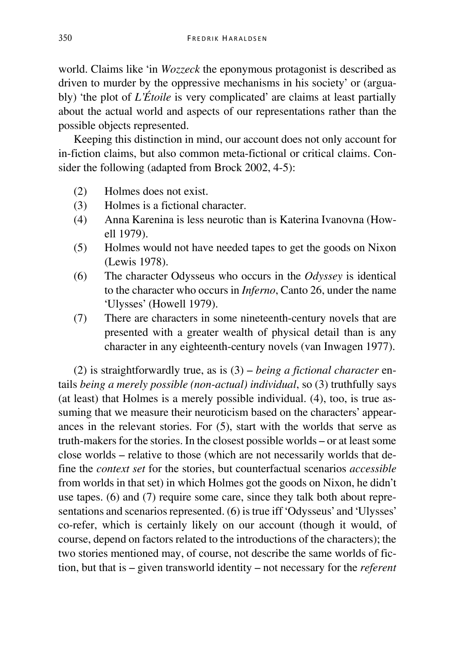world. Claims like 'in *Wozzeck* the eponymous protagonist is described as driven to murder by the oppressive mechanisms in his society' or (arguably) 'the plot of *L'Étoile* is very complicated' are claims at least partially about the actual world and aspects of our representations rather than the possible objects represented.

Keeping this distinction in mind, our account does not only account for in-fiction claims, but also common meta-fictional or critical claims. Consider the following (adapted from Brock 2002, 4-5):

- (2) Holmes does not exist.<br>(3) Holmes is a fictional cl
- Holmes is a fictional character.
- (4) Anna Karenina is less neurotic than is Katerina Ivanovna (Howell 1979).
- (5) Holmes would not have needed tapes to get the goods on Nixon (Lewis 1978).
- (6) The character Odysseus who occurs in the *Odyssey* is identical to the character who occurs in *Inferno*, Canto 26, under the name 'Ulysses' (Howell 1979).
- (7) There are characters in some nineteenth-century novels that are presented with a greater wealth of physical detail than is any character in any eighteenth-century novels (van Inwagen 1977).

(2) is straightforwardly true, as is (3) – *being a fictional character* entails *being a merely possible (non-actual) individual*, so (3) truthfully says (at least) that Holmes is a merely possible individual. (4), too, is true assuming that we measure their neuroticism based on the characters' appearances in the relevant stories. For (5), start with the worlds that serve as truth-makers for the stories. In the closest possible worlds – or at least some close worlds – relative to those (which are not necessarily worlds that define the *context set* for the stories, but counterfactual scenarios *accessible* from worlds in that set) in which Holmes got the goods on Nixon, he didn't use tapes. (6) and (7) require some care, since they talk both about representations and scenarios represented. (6) is true iff 'Odysseus' and 'Ulysses' co-refer, which is certainly likely on our account (though it would, of course, depend on factors related to the introductions of the characters); the two stories mentioned may, of course, not describe the same worlds of fiction, but that is – given transworld identity – not necessary for the *referent*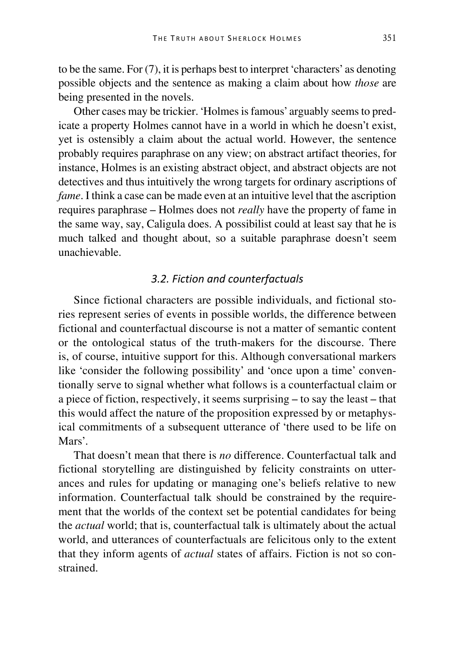to be the same. For (7), it is perhaps best to interpret 'characters' as denoting possible objects and the sentence as making a claim about how *those* are being presented in the novels.

Other cases may be trickier. 'Holmes is famous' arguably seems to predicate a property Holmes cannot have in a world in which he doesn't exist, yet is ostensibly a claim about the actual world. However, the sentence probably requires paraphrase on any view; on abstract artifact theories, for instance, Holmes is an existing abstract object, and abstract objects are not detectives and thus intuitively the wrong targets for ordinary ascriptions of *fame*. I think a case can be made even at an intuitive level that the ascription requires paraphrase – Holmes does not *really* have the property of fame in the same way, say, Caligula does. A possibilist could at least say that he is much talked and thought about, so a suitable paraphrase doesn't seem unachievable.

#### *3.2. Fiction and counterfactuals*

Since fictional characters are possible individuals, and fictional stories represent series of events in possible worlds, the difference between fictional and counterfactual discourse is not a matter of semantic content or the ontological status of the truth-makers for the discourse. There is, of course, intuitive support for this. Although conversational markers like 'consider the following possibility' and 'once upon a time' conventionally serve to signal whether what follows is a counterfactual claim or a piece of fiction, respectively, it seems surprising – to say the least – that this would affect the nature of the proposition expressed by or metaphysical commitments of a subsequent utterance of 'there used to be life on Mars'.

That doesn't mean that there is *no* difference. Counterfactual talk and fictional storytelling are distinguished by felicity constraints on utterances and rules for updating or managing one's beliefs relative to new information. Counterfactual talk should be constrained by the requirement that the worlds of the context set be potential candidates for being the *actual* world; that is, counterfactual talk is ultimately about the actual world, and utterances of counterfactuals are felicitous only to the extent that they inform agents of *actual* states of affairs. Fiction is not so constrained.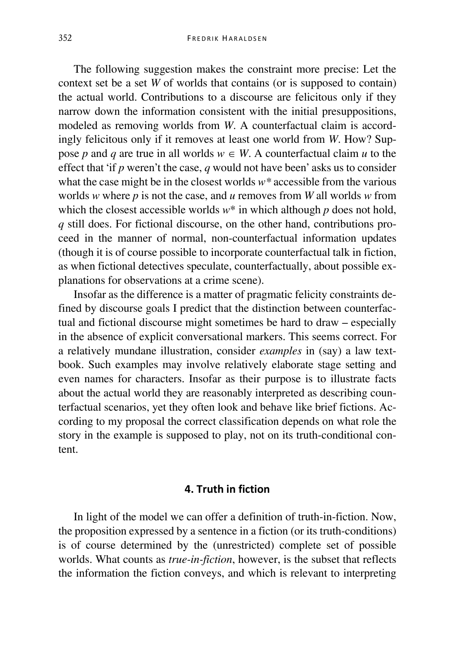The following suggestion makes the constraint more precise: Let the context set be a set *W* of worlds that contains (or is supposed to contain) the actual world. Contributions to a discourse are felicitous only if they narrow down the information consistent with the initial presuppositions, modeled as removing worlds from *W*. A counterfactual claim is accordingly felicitous only if it removes at least one world from *W*. How? Suppose *p* and *q* are true in all worlds  $w \in W$ . A counterfactual claim *u* to the effect that 'if *p* weren't the case, *q* would not have been' asks us to consider what the case might be in the closest worlds *w\** accessible from the various worlds *w* where *p* is not the case, and *u* removes from *W* all worlds *w* from which the closest accessible worlds  $w^*$  in which although  $p$  does not hold, *q* still does. For fictional discourse, on the other hand, contributions proceed in the manner of normal, non-counterfactual information updates (though it is of course possible to incorporate counterfactual talk in fiction, as when fictional detectives speculate, counterfactually, about possible explanations for observations at a crime scene).

Insofar as the difference is a matter of pragmatic felicity constraints defined by discourse goals I predict that the distinction between counterfactual and fictional discourse might sometimes be hard to draw – especially in the absence of explicit conversational markers. This seems correct. For a relatively mundane illustration, consider *examples* in (say) a law textbook. Such examples may involve relatively elaborate stage setting and even names for characters. Insofar as their purpose is to illustrate facts about the actual world they are reasonably interpreted as describing counterfactual scenarios, yet they often look and behave like brief fictions. According to my proposal the correct classification depends on what role the story in the example is supposed to play, not on its truth-conditional content.

#### **4. Truth in fiction**

In light of the model we can offer a definition of truth-in-fiction. Now, the proposition expressed by a sentence in a fiction (or its truth-conditions) is of course determined by the (unrestricted) complete set of possible worlds. What counts as *true-in-fiction*, however, is the subset that reflects the information the fiction conveys, and which is relevant to interpreting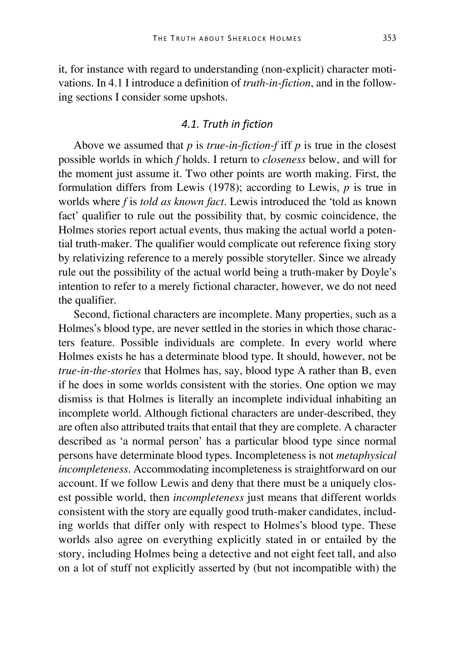it, for instance with regard to understanding (non-explicit) character motivations. In 4.1 I introduce a definition of *truth-in-fiction*, and in the following sections I consider some upshots.

## *4.1. Truth in fiction*

Above we assumed that *p* is *true-in-fiction-f* iff *p* is true in the closest possible worlds in which *f* holds. I return to *closeness* below, and will for the moment just assume it. Two other points are worth making. First, the formulation differs from Lewis (1978); according to Lewis, *p* is true in worlds where *f* is *told as known fact*. Lewis introduced the 'told as known fact' qualifier to rule out the possibility that, by cosmic coincidence, the Holmes stories report actual events, thus making the actual world a potential truth-maker. The qualifier would complicate out reference fixing story by relativizing reference to a merely possible storyteller. Since we already rule out the possibility of the actual world being a truth-maker by Doyle's intention to refer to a merely fictional character, however, we do not need the qualifier.

Second, fictional characters are incomplete. Many properties, such as a Holmes's blood type, are never settled in the stories in which those characters feature. Possible individuals are complete. In every world where Holmes exists he has a determinate blood type. It should, however, not be *true-in-the-stories* that Holmes has, say, blood type A rather than B, even if he does in some worlds consistent with the stories. One option we may dismiss is that Holmes is literally an incomplete individual inhabiting an incomplete world. Although fictional characters are under-described, they are often also attributed traits that entail that they are complete. A character described as 'a normal person' has a particular blood type since normal persons have determinate blood types. Incompleteness is not *metaphysical incompleteness*. Accommodating incompleteness is straightforward on our account. If we follow Lewis and deny that there must be a uniquely closest possible world, then *incompleteness* just means that different worlds consistent with the story are equally good truth-maker candidates, including worlds that differ only with respect to Holmes's blood type. These worlds also agree on everything explicitly stated in or entailed by the story, including Holmes being a detective and not eight feet tall, and also on a lot of stuff not explicitly asserted by (but not incompatible with) the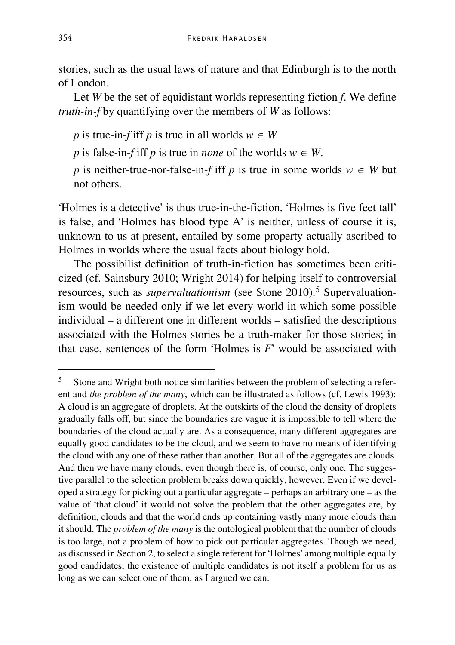stories, such as the usual laws of nature and that Edinburgh is to the north of London.

Let *W* be the set of equidistant worlds representing fiction *f*. We define *truth-in-f* by quantifying over the members of *W* as follows:

*p* is true-in-*f* iff *p* is true in all worlds  $w \in W$ 

*p* is false-in-*f* iff *p* is true in *none* of the worlds  $w \in W$ .

*p* is neither-true-nor-false-in-*f* iff *p* is true in some worlds  $w \in W$  but not others.

'Holmes is a detective' is thus true-in-the-fiction, 'Holmes is five feet tall' is false, and 'Holmes has blood type A' is neither, unless of course it is, unknown to us at present, entailed by some property actually ascribed to Holmes in worlds where the usual facts about biology hold.

The possibilist definition of truth-in-fiction has sometimes been criticized (cf. Sainsbury 2010; Wright 2014) for helping itself to controversial resources, such as *supervaluationism* (see Stone 2010).<sup>[5](#page-15-0)</sup> Supervaluationism would be needed only if we let every world in which some possible individual – a different one in different worlds – satisfied the descriptions associated with the Holmes stories be a truth-maker for those stories; in that case, sentences of the form 'Holmes is *F*' would be associated with

<span id="page-15-0"></span> <sup>5</sup> Stone and Wright both notice similarities between the problem of selecting a referent and *the problem of the many*, which can be illustrated as follows (cf. Lewis 1993): A cloud is an aggregate of droplets. At the outskirts of the cloud the density of droplets gradually falls off, but since the boundaries are vague it is impossible to tell where the boundaries of the cloud actually are. As a consequence, many different aggregates are equally good candidates to be the cloud, and we seem to have no means of identifying the cloud with any one of these rather than another. But all of the aggregates are clouds. And then we have many clouds, even though there is, of course, only one. The suggestive parallel to the selection problem breaks down quickly, however. Even if we developed a strategy for picking out a particular aggregate – perhaps an arbitrary one – as the value of 'that cloud' it would not solve the problem that the other aggregates are, by definition, clouds and that the world ends up containing vastly many more clouds than it should. The *problem of the many* is the ontological problem that the number of clouds is too large, not a problem of how to pick out particular aggregates. Though we need, as discussed in Section 2, to select a single referent for 'Holmes' among multiple equally good candidates, the existence of multiple candidates is not itself a problem for us as long as we can select one of them, as I argued we can.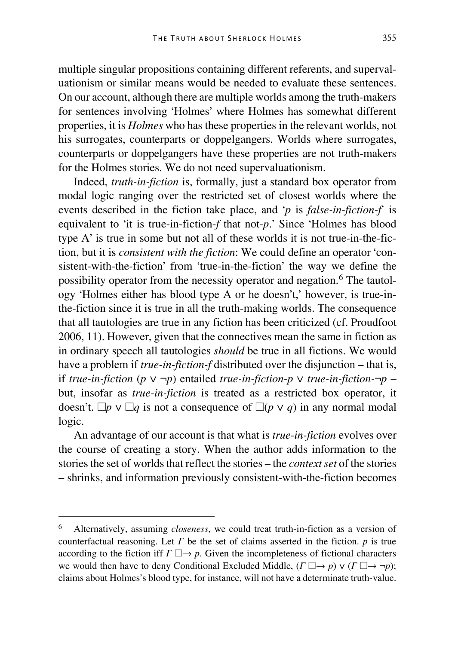multiple singular propositions containing different referents, and supervaluationism or similar means would be needed to evaluate these sentences. On our account, although there are multiple worlds among the truth-makers for sentences involving 'Holmes' where Holmes has somewhat different properties, it is *Holmes* who has these properties in the relevant worlds, not his surrogates, counterparts or doppelgangers. Worlds where surrogates, counterparts or doppelgangers have these properties are not truth-makers for the Holmes stories. We do not need supervaluationism.

Indeed, *truth-in-fiction* is, formally, just a standard box operator from modal logic ranging over the restricted set of closest worlds where the events described in the fiction take place, and '*p* is *false-in-fiction-f*' is equivalent to 'it is true-in-fiction-*f* that not-*p*.' Since 'Holmes has blood type A' is true in some but not all of these worlds it is not true-in-the-fiction, but it is *consistent with the fiction*: We could define an operator 'consistent-with-the-fiction' from 'true-in-the-fiction' the way we define the possibility operator from the necessity operator and negation.[6](#page-16-0) The tautology 'Holmes either has blood type A or he doesn't,' however, is true-inthe-fiction since it is true in all the truth-making worlds. The consequence that all tautologies are true in any fiction has been criticized (cf. Proudfoot 2006, 11). However, given that the connectives mean the same in fiction as in ordinary speech all tautologies *should* be true in all fictions. We would have a problem if *true-in-fiction-f* distributed over the disjunction – that is, if *true-in-fiction* (*p* ∨ ¬*p*) entailed *true-in-fiction-p* ∨ *true-in-fiction-*¬*p* – but, insofar as *true-in-fiction* is treated as a restricted box operator, it doesn't.  $\Box p \lor \Box q$  is not a consequence of  $\Box (p \lor q)$  in any normal modal logic.

An advantage of our account is that what is *true-in-fiction* evolves over the course of creating a story. When the author adds information to the stories the set of worlds that reflect the stories – the *context set* of the stories – shrinks, and information previously consistent-with-the-fiction becomes

<span id="page-16-0"></span> <sup>6</sup> Alternatively, assuming *closeness*, we could treat truth-in-fiction as a version of counterfactual reasoning. Let *Γ* be the set of claims asserted in the fiction. *p* is true according to the fiction iff  $\Gamma \Box \rightarrow p$ . Given the incompleteness of fictional characters we would then have to deny Conditional Excluded Middle, (*Γ* ☐→ *p*) ∨ (*Γ* ☐→ ¬*p*); claims about Holmes's blood type, for instance, will not have a determinate truth-value.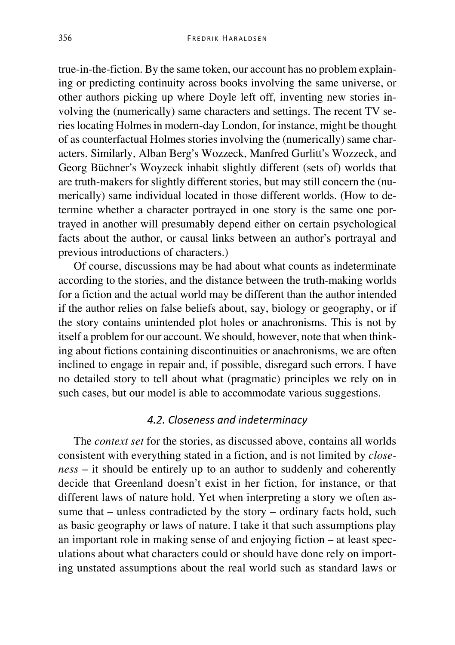true-in-the-fiction. By the same token, our account has no problem explaining or predicting continuity across books involving the same universe, or other authors picking up where Doyle left off, inventing new stories involving the (numerically) same characters and settings. The recent TV series locating Holmes in modern-day London, for instance, might be thought of as counterfactual Holmes stories involving the (numerically) same characters. Similarly, Alban Berg's Wozzeck, Manfred Gurlitt's Wozzeck, and Georg Büchner's Woyzeck inhabit slightly different (sets of) worlds that are truth-makers for slightly different stories, but may still concern the (numerically) same individual located in those different worlds. (How to determine whether a character portrayed in one story is the same one portrayed in another will presumably depend either on certain psychological facts about the author, or causal links between an author's portrayal and previous introductions of characters.)

Of course, discussions may be had about what counts as indeterminate according to the stories, and the distance between the truth-making worlds for a fiction and the actual world may be different than the author intended if the author relies on false beliefs about, say, biology or geography, or if the story contains unintended plot holes or anachronisms. This is not by itself a problem for our account. We should, however, note that when thinking about fictions containing discontinuities or anachronisms, we are often inclined to engage in repair and, if possible, disregard such errors. I have no detailed story to tell about what (pragmatic) principles we rely on in such cases, but our model is able to accommodate various suggestions.

## *4.2. Closeness and indeterminacy*

The *context set* for the stories, as discussed above, contains all worlds consistent with everything stated in a fiction, and is not limited by *closeness* – it should be entirely up to an author to suddenly and coherently decide that Greenland doesn't exist in her fiction, for instance, or that different laws of nature hold. Yet when interpreting a story we often assume that – unless contradicted by the story – ordinary facts hold, such as basic geography or laws of nature. I take it that such assumptions play an important role in making sense of and enjoying fiction – at least speculations about what characters could or should have done rely on importing unstated assumptions about the real world such as standard laws or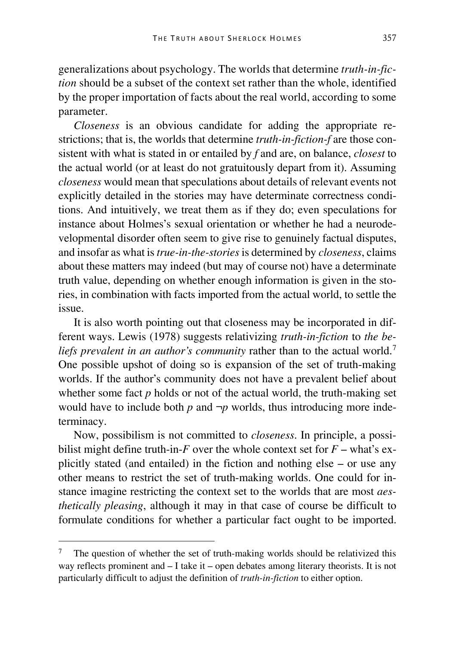generalizations about psychology. The worlds that determine *truth-in-fiction* should be a subset of the context set rather than the whole, identified by the proper importation of facts about the real world, according to some parameter.

*Closeness* is an obvious candidate for adding the appropriate restrictions; that is, the worlds that determine *truth-in-fiction-f* are those consistent with what is stated in or entailed by *f* and are, on balance, *closest* to the actual world (or at least do not gratuitously depart from it). Assuming *closeness* would mean that speculations about details of relevant events not explicitly detailed in the stories may have determinate correctness conditions. And intuitively, we treat them as if they do; even speculations for instance about Holmes's sexual orientation or whether he had a neurodevelopmental disorder often seem to give rise to genuinely factual disputes, and insofar as what is *true-in-the-stories*is determined by *closeness*, claims about these matters may indeed (but may of course not) have a determinate truth value, depending on whether enough information is given in the stories, in combination with facts imported from the actual world, to settle the issue.

It is also worth pointing out that closeness may be incorporated in different ways. Lewis (1978) suggests relativizing *truth-in-fiction* to *the beliefs prevalent in an author's community* rather than to the actual world.<sup>[7](#page-18-0)</sup> One possible upshot of doing so is expansion of the set of truth-making worlds. If the author's community does not have a prevalent belief about whether some fact *p* holds or not of the actual world, the truth-making set would have to include both  $p$  and  $\neg p$  worlds, thus introducing more indeterminacy.

Now, possibilism is not committed to *closeness*. In principle, a possibilist might define truth-in- $F$  over the whole context set for  $F$  – what's explicitly stated (and entailed) in the fiction and nothing else – or use any other means to restrict the set of truth-making worlds. One could for instance imagine restricting the context set to the worlds that are most *aesthetically pleasing*, although it may in that case of course be difficult to formulate conditions for whether a particular fact ought to be imported.

<span id="page-18-0"></span>The question of whether the set of truth-making worlds should be relativized this way reflects prominent and – I take it – open debates among literary theorists. It is not particularly difficult to adjust the definition of *truth-in-fiction* to either option.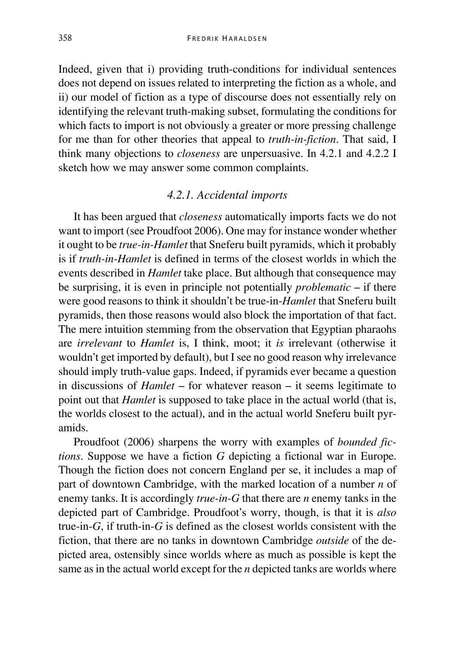Indeed, given that i) providing truth-conditions for individual sentences does not depend on issues related to interpreting the fiction as a whole, and ii) our model of fiction as a type of discourse does not essentially rely on identifying the relevant truth-making subset, formulating the conditions for which facts to import is not obviously a greater or more pressing challenge for me than for other theories that appeal to *truth-in-fiction*. That said, I think many objections to *closeness* are unpersuasive. In 4.2.1 and 4.2.2 I sketch how we may answer some common complaints.

## *4.2.1. Accidental imports*

It has been argued that *closeness* automatically imports facts we do not want to import (see Proudfoot 2006). One may for instance wonder whether it ought to be *true-in-Hamlet* that Sneferu built pyramids, which it probably is if *truth-in-Hamlet* is defined in terms of the closest worlds in which the events described in *Hamlet* take place. But although that consequence may be surprising, it is even in principle not potentially *problematic* – if there were good reasons to think it shouldn't be true-in-*Hamlet* that Sneferu built pyramids, then those reasons would also block the importation of that fact. The mere intuition stemming from the observation that Egyptian pharaohs are *irrelevant* to *Hamlet* is, I think, moot; it *is* irrelevant (otherwise it wouldn't get imported by default), but I see no good reason why irrelevance should imply truth-value gaps. Indeed, if pyramids ever became a question in discussions of *Hamlet* – for whatever reason – it seems legitimate to point out that *Hamlet* is supposed to take place in the actual world (that is, the worlds closest to the actual), and in the actual world Sneferu built pyramids.

Proudfoot (2006) sharpens the worry with examples of *bounded fictions*. Suppose we have a fiction *G* depicting a fictional war in Europe. Though the fiction does not concern England per se, it includes a map of part of downtown Cambridge, with the marked location of a number *n* of enemy tanks. It is accordingly *true-in-G* that there are *n* enemy tanks in the depicted part of Cambridge. Proudfoot's worry, though, is that it is *also* true-in-*G*, if truth-in-*G* is defined as the closest worlds consistent with the fiction, that there are no tanks in downtown Cambridge *outside* of the depicted area, ostensibly since worlds where as much as possible is kept the same as in the actual world except for the *n* depicted tanks are worlds where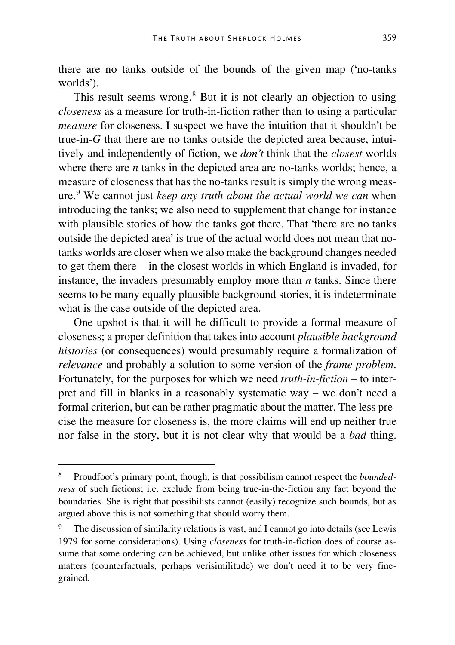there are no tanks outside of the bounds of the given map ('no-tanks worlds').

This result seems wrong.<sup>[8](#page-20-0)</sup> But it is not clearly an objection to using *closeness* as a measure for truth-in-fiction rather than to using a particular *measure* for closeness. I suspect we have the intuition that it shouldn't be true-in-*G* that there are no tanks outside the depicted area because, intuitively and independently of fiction, we *don't* think that the *closest* worlds where there are *n* tanks in the depicted area are no-tanks worlds; hence, a measure of closeness that has the no-tanks result is simply the wrong measure.[9](#page-20-1) We cannot just *keep any truth about the actual world we can* when introducing the tanks; we also need to supplement that change for instance with plausible stories of how the tanks got there. That 'there are no tanks outside the depicted area' is true of the actual world does not mean that notanks worlds are closer when we also make the background changes needed to get them there – in the closest worlds in which England is invaded, for instance, the invaders presumably employ more than *n* tanks. Since there seems to be many equally plausible background stories, it is indeterminate what is the case outside of the depicted area.

One upshot is that it will be difficult to provide a formal measure of closeness; a proper definition that takes into account *plausible background histories* (or consequences) would presumably require a formalization of *relevance* and probably a solution to some version of the *frame problem*. Fortunately, for the purposes for which we need *truth-in-fiction* – to interpret and fill in blanks in a reasonably systematic way – we don't need a formal criterion, but can be rather pragmatic about the matter. The less precise the measure for closeness is, the more claims will end up neither true nor false in the story, but it is not clear why that would be a *bad* thing.

<span id="page-20-0"></span> <sup>8</sup> Proudfoot's primary point, though, is that possibilism cannot respect the *boundedness* of such fictions; i.e. exclude from being true-in-the-fiction any fact beyond the boundaries. She is right that possibilists cannot (easily) recognize such bounds, but as argued above this is not something that should worry them.

<span id="page-20-1"></span>The discussion of similarity relations is vast, and I cannot go into details (see Lewis 1979 for some considerations). Using *closeness* for truth-in-fiction does of course assume that some ordering can be achieved, but unlike other issues for which closeness matters (counterfactuals, perhaps verisimilitude) we don't need it to be very finegrained.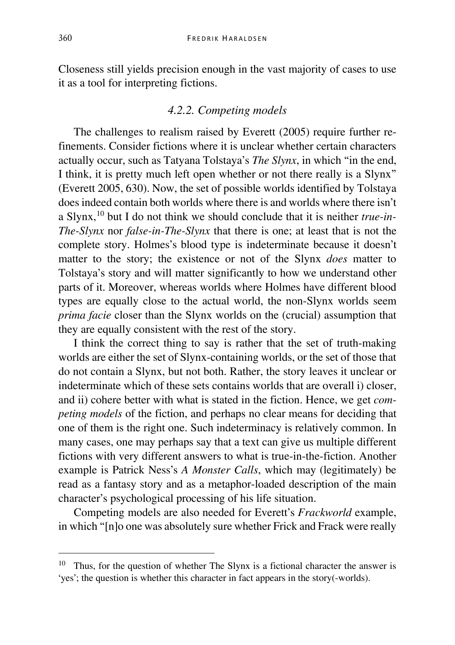Closeness still yields precision enough in the vast majority of cases to use it as a tool for interpreting fictions.

#### *4.2.2. Competing models*

The challenges to realism raised by Everett (2005) require further refinements. Consider fictions where it is unclear whether certain characters actually occur, such as Tatyana Tolstaya's *The Slynx*, in which "in the end, I think, it is pretty much left open whether or not there really is a Slynx" (Everett 2005, 630). Now, the set of possible worlds identified by Tolstaya does indeed contain both worlds where there is and worlds where there isn't a Slynx,[10](#page-21-0) but I do not think we should conclude that it is neither *true-in-The-Slynx* nor *false-in-The-Slynx* that there is one; at least that is not the complete story. Holmes's blood type is indeterminate because it doesn't matter to the story; the existence or not of the Slynx *does* matter to Tolstaya's story and will matter significantly to how we understand other parts of it. Moreover, whereas worlds where Holmes have different blood types are equally close to the actual world, the non-Slynx worlds seem *prima facie* closer than the Slynx worlds on the (crucial) assumption that they are equally consistent with the rest of the story.

I think the correct thing to say is rather that the set of truth-making worlds are either the set of Slynx-containing worlds, or the set of those that do not contain a Slynx, but not both. Rather, the story leaves it unclear or indeterminate which of these sets contains worlds that are overall i) closer, and ii) cohere better with what is stated in the fiction. Hence, we get *competing models* of the fiction, and perhaps no clear means for deciding that one of them is the right one. Such indeterminacy is relatively common. In many cases, one may perhaps say that a text can give us multiple different fictions with very different answers to what is true-in-the-fiction. Another example is Patrick Ness's *A Monster Calls*, which may (legitimately) be read as a fantasy story and as a metaphor-loaded description of the main character's psychological processing of his life situation.

Competing models are also needed for Everett's *Frackworld* example, in which "[n]o one was absolutely sure whether Frick and Frack were really

<span id="page-21-0"></span><sup>&</sup>lt;sup>10</sup> Thus, for the question of whether The Slynx is a fictional character the answer is 'yes'; the question is whether this character in fact appears in the story(-worlds).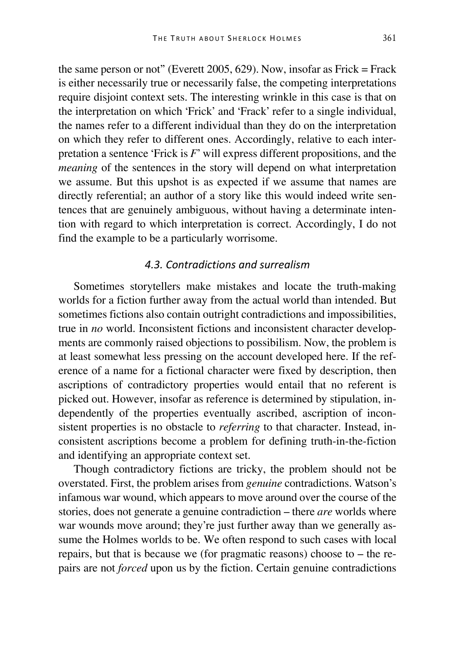the same person or not" (Everett 2005, 629). Now, insofar as Frick  $=$  Frack is either necessarily true or necessarily false, the competing interpretations require disjoint context sets. The interesting wrinkle in this case is that on the interpretation on which 'Frick' and 'Frack' refer to a single individual, the names refer to a different individual than they do on the interpretation on which they refer to different ones. Accordingly, relative to each interpretation a sentence 'Frick is *F*' will express different propositions, and the *meaning* of the sentences in the story will depend on what interpretation we assume. But this upshot is as expected if we assume that names are directly referential; an author of a story like this would indeed write sentences that are genuinely ambiguous, without having a determinate intention with regard to which interpretation is correct. Accordingly, I do not find the example to be a particularly worrisome.

## *4.3. Contradictions and surrealism*

Sometimes storytellers make mistakes and locate the truth-making worlds for a fiction further away from the actual world than intended. But sometimes fictions also contain outright contradictions and impossibilities, true in *no* world. Inconsistent fictions and inconsistent character developments are commonly raised objections to possibilism. Now, the problem is at least somewhat less pressing on the account developed here. If the reference of a name for a fictional character were fixed by description, then ascriptions of contradictory properties would entail that no referent is picked out. However, insofar as reference is determined by stipulation, independently of the properties eventually ascribed, ascription of inconsistent properties is no obstacle to *referring* to that character. Instead, inconsistent ascriptions become a problem for defining truth-in-the-fiction and identifying an appropriate context set.

Though contradictory fictions are tricky, the problem should not be overstated. First, the problem arises from *genuine* contradictions. Watson's infamous war wound, which appears to move around over the course of the stories, does not generate a genuine contradiction – there *are* worlds where war wounds move around; they're just further away than we generally assume the Holmes worlds to be. We often respond to such cases with local repairs, but that is because we (for pragmatic reasons) choose to – the repairs are not *forced* upon us by the fiction. Certain genuine contradictions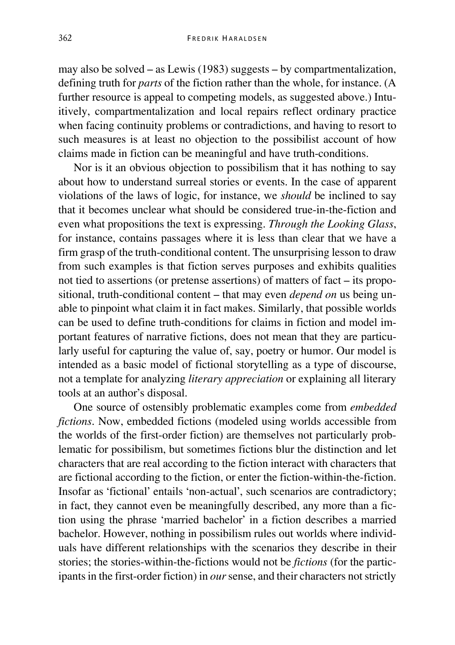may also be solved – as Lewis (1983) suggests – by compartmentalization, defining truth for *parts* of the fiction rather than the whole, for instance. (A further resource is appeal to competing models, as suggested above.) Intuitively, compartmentalization and local repairs reflect ordinary practice when facing continuity problems or contradictions, and having to resort to such measures is at least no objection to the possibilist account of how claims made in fiction can be meaningful and have truth-conditions.

Nor is it an obvious objection to possibilism that it has nothing to say about how to understand surreal stories or events. In the case of apparent violations of the laws of logic, for instance, we *should* be inclined to say that it becomes unclear what should be considered true-in-the-fiction and even what propositions the text is expressing. *Through the Looking Glass*, for instance, contains passages where it is less than clear that we have a firm grasp of the truth-conditional content. The unsurprising lesson to draw from such examples is that fiction serves purposes and exhibits qualities not tied to assertions (or pretense assertions) of matters of fact – its propositional, truth-conditional content – that may even *depend on* us being unable to pinpoint what claim it in fact makes. Similarly, that possible worlds can be used to define truth-conditions for claims in fiction and model important features of narrative fictions, does not mean that they are particularly useful for capturing the value of, say, poetry or humor. Our model is intended as a basic model of fictional storytelling as a type of discourse, not a template for analyzing *literary appreciation* or explaining all literary tools at an author's disposal.

One source of ostensibly problematic examples come from *embedded fictions*. Now, embedded fictions (modeled using worlds accessible from the worlds of the first-order fiction) are themselves not particularly problematic for possibilism, but sometimes fictions blur the distinction and let characters that are real according to the fiction interact with characters that are fictional according to the fiction, or enter the fiction-within-the-fiction. Insofar as 'fictional' entails 'non-actual', such scenarios are contradictory; in fact, they cannot even be meaningfully described, any more than a fiction using the phrase 'married bachelor' in a fiction describes a married bachelor. However, nothing in possibilism rules out worlds where individuals have different relationships with the scenarios they describe in their stories; the stories-within-the-fictions would not be *fictions* (for the participants in the first-order fiction) in *our* sense, and their characters not strictly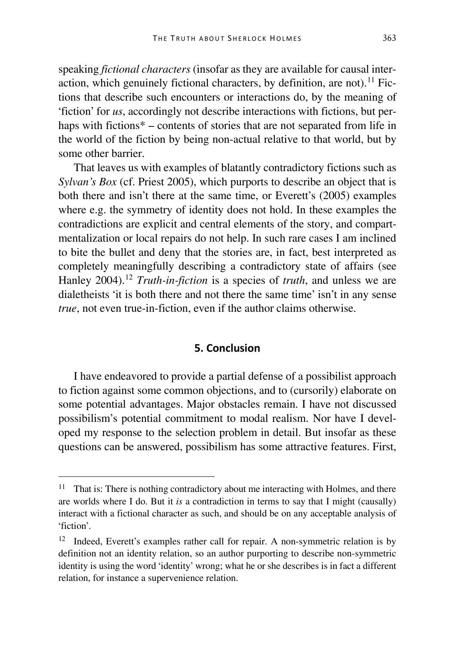speaking *fictional characters* (insofar as they are available for causal inter-action, which genuinely fictional characters, by definition, are not).<sup>[11](#page-24-0)</sup> Fictions that describe such encounters or interactions do, by the meaning of 'fiction' for *us*, accordingly not describe interactions with fictions, but perhaps with fictions<sup>\*</sup> – contents of stories that are not separated from life in the world of the fiction by being non-actual relative to that world, but by some other barrier.

That leaves us with examples of blatantly contradictory fictions such as *Sylvan's Box* (cf. Priest 2005), which purports to describe an object that is both there and isn't there at the same time, or Everett's (2005) examples where e.g. the symmetry of identity does not hold. In these examples the contradictions are explicit and central elements of the story, and compartmentalization or local repairs do not help. In such rare cases I am inclined to bite the bullet and deny that the stories are, in fact, best interpreted as completely meaningfully describing a contradictory state of affairs (see Hanley 2004).[12](#page-24-1) *Truth-in-fiction* is a species of *truth*, and unless we are dialetheists 'it is both there and not there the same time' isn't in any sense *true*, not even true-in-fiction, even if the author claims otherwise.

## **5. Conclusion**

I have endeavored to provide a partial defense of a possibilist approach to fiction against some common objections, and to (cursorily) elaborate on some potential advantages. Major obstacles remain. I have not discussed possibilism's potential commitment to modal realism. Nor have I developed my response to the selection problem in detail. But insofar as these questions can be answered, possibilism has some attractive features. First,

<span id="page-24-0"></span><sup>&</sup>lt;sup>11</sup> That is: There is nothing contradictory about me interacting with Holmes, and there are worlds where I do. But it *is* a contradiction in terms to say that I might (causally) interact with a fictional character as such, and should be on any acceptable analysis of 'fiction'.

<span id="page-24-1"></span><sup>&</sup>lt;sup>12</sup> Indeed, Everett's examples rather call for repair. A non-symmetric relation is by definition not an identity relation, so an author purporting to describe non-symmetric identity is using the word 'identity' wrong; what he or she describes is in fact a different relation, for instance a supervenience relation.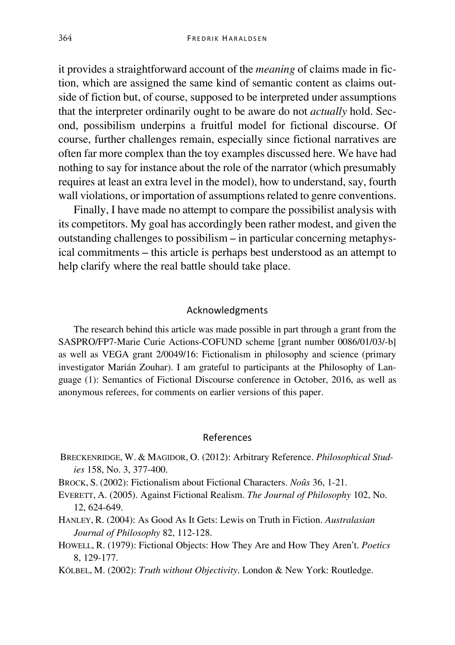it provides a straightforward account of the *meaning* of claims made in fiction, which are assigned the same kind of semantic content as claims outside of fiction but, of course, supposed to be interpreted under assumptions that the interpreter ordinarily ought to be aware do not *actually* hold. Second, possibilism underpins a fruitful model for fictional discourse. Of course, further challenges remain, especially since fictional narratives are often far more complex than the toy examples discussed here. We have had nothing to say for instance about the role of the narrator (which presumably requires at least an extra level in the model), how to understand, say, fourth wall violations, or importation of assumptions related to genre conventions.

Finally, I have made no attempt to compare the possibilist analysis with its competitors. My goal has accordingly been rather modest, and given the outstanding challenges to possibilism – in particular concerning metaphysical commitments – this article is perhaps best understood as an attempt to help clarify where the real battle should take place.

#### Acknowledgments

The research behind this article was made possible in part through a grant from the SASPRO/FP7-Marie Curie Actions-COFUND scheme [grant number 0086/01/03/-b] as well as VEGA grant 2/0049/16: Fictionalism in philosophy and science (primary investigator Marián Zouhar). I am grateful to participants at the Philosophy of Language (1): Semantics of Fictional Discourse conference in October, 2016, as well as anonymous referees, for comments on earlier versions of this paper.

#### References

- BRECKENRIDGE, W. & MAGIDOR, O. (2012): Arbitrary Reference. *Philosophical Studies* 158, No. 3, 377-400.
- BROCK, S. (2002): Fictionalism about Fictional Characters. *Noûs* 36, 1-21.
- EVERETT, A. (2005). Against Fictional Realism. *The Journal of Philosophy* 102, No. 12, 624-649.
- HANLEY, R. (2004): As Good As It Gets: Lewis on Truth in Fiction. *Australasian Journal of Philosophy* 82, 112-128.
- HOWELL, R. (1979): Fictional Objects: How They Are and How They Aren't. *Poetics* 8, 129-177.
- KÖLBEL, M. (2002): *Truth without Objectivity*. London & New York: Routledge.